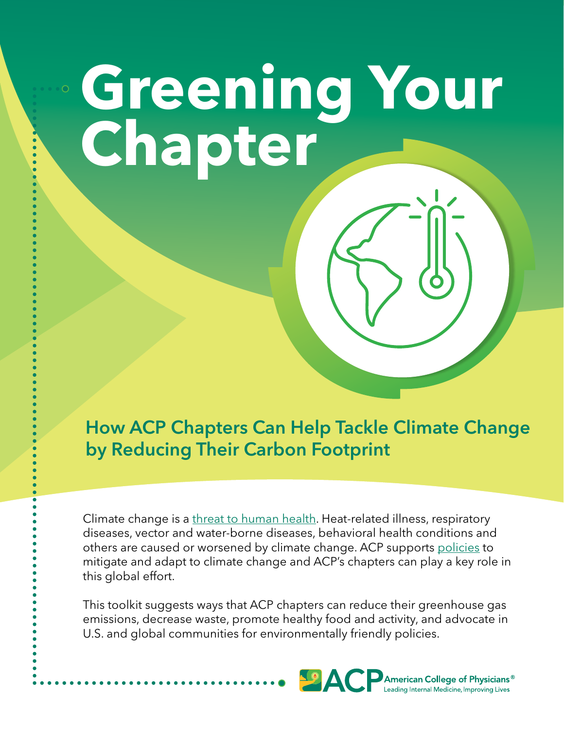# **Greening Your Chapter**

How ACP Chapters Can Help Tackle Climate Change by Reducing Their Carbon Footprint

Climate change is a [threat to human health](https://www.thelancet.com/journals/lancet/article/PIIS0140-6736(21)01787-6/fulltext). Heat-related illness, respiratory diseases, vector and water-borne diseases, behavioral health conditions and others are caused or worsened by climate change. ACP supports [policies](https://www.acpjournals.org/doi/10.7326/M15-2766) to mitigate and adapt to climate change and ACP's chapters can play a key role in this global effort.

This toolkit suggests ways that ACP chapters can reduce their greenhouse gas emissions, decrease waste, promote healthy food and activity, and advocate in U.S. and global communities for environmentally friendly policies.

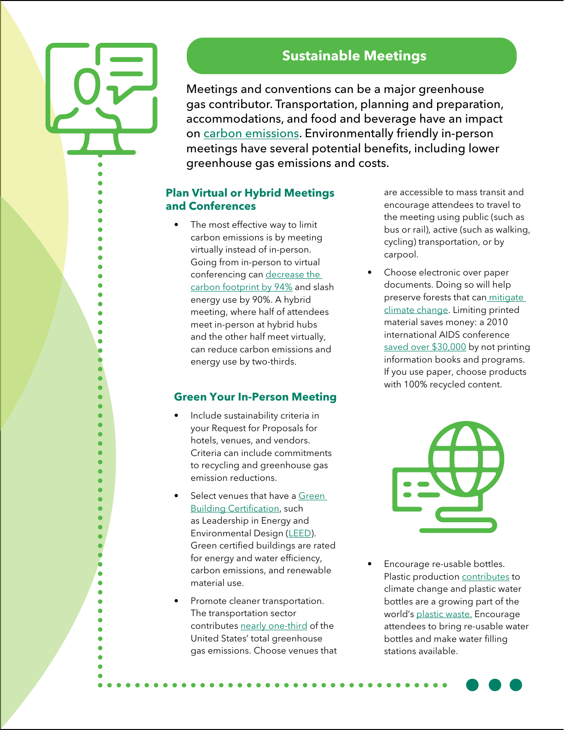Ŏ

# **Sustainable Meetings**

Meetings and conventions can be a major greenhouse gas contributor. Transportation, planning and preparation, accommodations, and food and beverage have an impact on [carbon emissions.](https://www.mdpi.com/2071-1050/12/12/5001/htm#B25-sustainability-12-05001) Environmentally friendly in-person meetings have several potential benefits, including lower greenhouse gas emissions and costs.

### **Plan Virtual or Hybrid Meetings and Conferences**

• The most effective way to limit carbon emissions is by meeting virtually instead of in-person. Going from in-person to virtual conferencing can [decrease the](https://www.nature.com/articles/s41467-021-27251-2)  [carbon footprint by 94%](https://www.nature.com/articles/s41467-021-27251-2) and slash energy use by 90%. A hybrid meeting, where half of attendees meet in-person at hybrid hubs and the other half meet virtually, can reduce carbon emissions and energy use by two-thirds.

### **Green Your In-Person Meeting**

- Include sustainability criteria in your Request for Proposals for hotels, venues, and vendors. Criteria can include commitments to recycling and greenhouse gas emission reductions.
- Select venues that have a Green [Building Certification](https://www.archdaily.com/946290/evaluating-buildings-12-green-building-certifications-to-know), such as Leadership in Energy and Environmental Design [\(LEED\)](https://www.usgbc.org/leed). Green certified buildings are rated for energy and water efficiency, carbon emissions, and renewable material use.
- Promote cleaner transportation. The transportation sector contributes [nearly one-third](https://www.epa.gov/greenvehicles/fast-facts-transportation-greenhouse-gas-emissions) of the United States' total greenhouse gas emissions. Choose venues that

are accessible to mass transit and encourage attendees to travel to the meeting using public (such as bus or rail), active (such as walking, cycling) transportation, or by carpool.

Choose electronic over paper documents. Doing so will help preserve forests that can mitigate [climate change.](https://www.pnas.org/doi/10.1073/pnas.2010840117) Limiting printed material saves money: a 2010 international AIDS conference [saved over \\$30,000](https://uist.acm.org/uist2019/sustainability/SustainableEventsGuideMay302012FINAL.pdf) by not printing information books and programs. If you use paper, choose products with 100% recycled content.



• Encourage re-usable bottles. Plastic production [contributes](https://news.climate.columbia.edu/2020/02/20/plastic-production-climate-change/) to climate change and plastic water bottles are a growing part of the world's [plastic waste.](https://www.theguardian.com/environment/2017/jun/28/a-million-a-minute-worlds-plastic-bottle-binge-as-dangerous-as-climate-change) Encourage attendees to bring re-usable water bottles and make water filling stations available.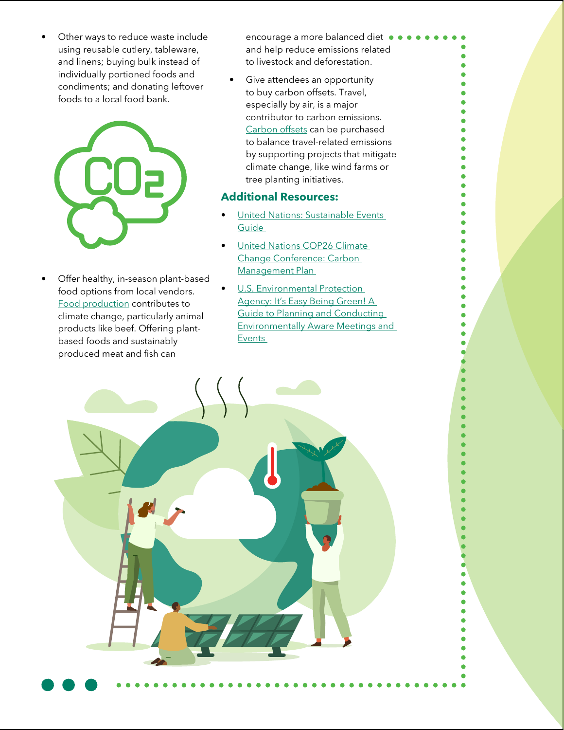• Other ways to reduce waste include using reusable cutlery, tableware, and linens; buying bulk instead of individually portioned foods and condiments; and donating leftover foods to a local food bank.



Offer healthy, in-season plant-based food options from local vendors. [Food production](https://www.bbc.com/news/science-environment-49238749) contributes to climate change, particularly animal products like beef. Offering plantbased foods and sustainably produced meat and fish can

encourage a more balanced diet  $\bullet \bullet \bullet$ and help reduce emissions related to livestock and deforestation.

Give attendees an opportunity to buy carbon offsets. Travel, especially by air, is a major contributor to carbon emissions. [Carbon offsets](https://climate.mit.edu/ask-mit/what-most-cost-effective-way-buy-carbon-offsets) can be purchased to balance travel-related emissions by supporting projects that mitigate climate change, like wind farms or tree planting initiatives.

#### **Additional Resources:**

- United Nations: Sustainable Events [Guide](https://uist.acm.org/uist2019/sustainability/SustainableEventsGuideMay302012FINAL.pdf)
- United Nations COP26 Climate [Change Conference: Carbon](https://ukcop26.org/wp-content/uploads/2021/11/Executive-summary-of-our-Carbon-Management-Plan.docx.pdf)  [Management Plan](https://ukcop26.org/wp-content/uploads/2021/11/Executive-summary-of-our-Carbon-Management-Plan.docx.pdf)
- **U.S. Environmental Protection** Agency: It's Easy Being Green! A [Guide to Planning and Conducting](https://nepis.epa.gov/Exe/ZyNET.exe/10000MUU.TXT?ZyActionD=ZyDocument&Client=EPA&Index=1995+Thru+1999&Docs=&Query=&Time=&EndTime=&SearchMethod=1&TocRestrict=n&Toc=&TocEntry=&QField=&QFieldYear=&QFieldMonth=&QFieldDay=&IntQFieldOp=0&ExtQFieldOp=0&XmlQuery=&File=D%3A%5Czyfiles%5CIndex%20Data%5C95thru99%5CTxt%5C00000004%5C10000MUU.txt&User=ANONYMOUS&Password=anonymous&SortMethod=h%7C-&MaximumDocuments=1&FuzzyDegree=0&ImageQuality=r75g8/r75g8/x150y150g16/i425&Display=p%7Cf&DefSeekPage=x&SearchBack=ZyActionL&Back=ZyActionS&BackDesc=Results%20page&MaximumPages=1&ZyEntry=1&SeekPage=x&ZyPURL)  [Environmentally Aware Meetings and](https://nepis.epa.gov/Exe/ZyNET.exe/10000MUU.TXT?ZyActionD=ZyDocument&Client=EPA&Index=1995+Thru+1999&Docs=&Query=&Time=&EndTime=&SearchMethod=1&TocRestrict=n&Toc=&TocEntry=&QField=&QFieldYear=&QFieldMonth=&QFieldDay=&IntQFieldOp=0&ExtQFieldOp=0&XmlQuery=&File=D%3A%5Czyfiles%5CIndex%20Data%5C95thru99%5CTxt%5C00000004%5C10000MUU.txt&User=ANONYMOUS&Password=anonymous&SortMethod=h%7C-&MaximumDocuments=1&FuzzyDegree=0&ImageQuality=r75g8/r75g8/x150y150g16/i425&Display=p%7Cf&DefSeekPage=x&SearchBack=ZyActionL&Back=ZyActionS&BackDesc=Results%20page&MaximumPages=1&ZyEntry=1&SeekPage=x&ZyPURL)  [Events](https://nepis.epa.gov/Exe/ZyNET.exe/10000MUU.TXT?ZyActionD=ZyDocument&Client=EPA&Index=1995+Thru+1999&Docs=&Query=&Time=&EndTime=&SearchMethod=1&TocRestrict=n&Toc=&TocEntry=&QField=&QFieldYear=&QFieldMonth=&QFieldDay=&IntQFieldOp=0&ExtQFieldOp=0&XmlQuery=&File=D%3A%5Czyfiles%5CIndex%20Data%5C95thru99%5CTxt%5C00000004%5C10000MUU.txt&User=ANONYMOUS&Password=anonymous&SortMethod=h%7C-&MaximumDocuments=1&FuzzyDegree=0&ImageQuality=r75g8/r75g8/x150y150g16/i425&Display=p%7Cf&DefSeekPage=x&SearchBack=ZyActionL&Back=ZyActionS&BackDesc=Results%20page&MaximumPages=1&ZyEntry=1&SeekPage=x&ZyPURL)

Ä